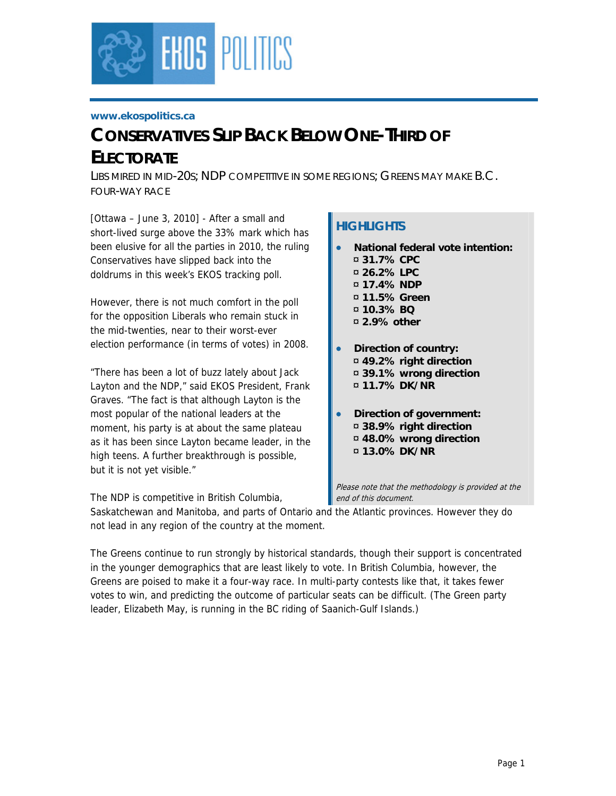

#### **www.ekospolitics.ca**

# *CONSERVATIVES SLIP BACK BELOW ONE-THIRD OF ELECTORATE*

*LIBS MIRED IN MID-20S; NDP COMPETITIVE IN SOME REGIONS; GREENS MAY MAKE B.C. FOUR-WAY RACE*

[Ottawa – June 3, 2010] - After a small and short-lived surge above the 33% mark which has been elusive for all the parties in 2010, the ruling Conservatives have slipped back into the doldrums in this week's EKOS tracking poll.

However, there is not much comfort in the poll for the opposition Liberals who remain stuck in the mid-twenties, near to their worst-ever election performance (in terms of votes) in 2008.

"There has been a lot of buzz lately about Jack Layton and the NDP," said EKOS President, Frank Graves. "The fact is that although Layton is the most popular of the national leaders at the moment, his party is at about the same plateau as it has been since Layton became leader, in the high teens. A further breakthrough is possible, but it is not yet visible."

# **HIGHLIGHTS**

- **National federal vote intention:** 
	- ¤ **31.7% CPC**  ¤ **26.2% LPC**
	- ¤ **17.4% NDP**
	- ¤ **11.5% Green**
	- ¤ **10.3% BQ**
	- ¤ **2.9% other**
- **Direction of country:**  ¤ **49.2% right direction**  ¤ **39.1% wrong direction**  ¤ **11.7% DK/NR**
- **Direction of government:**  ¤ **38.9% right direction**  ¤ **48.0% wrong direction** 
	- ¤ **13.0% DK/NR**

Please note that the methodology is provided at the end of this document.

The NDP is competitive in British Columbia,

Saskatchewan and Manitoba, and parts of Ontario and the Atlantic provinces. However they do not lead in any region of the country at the moment.

The Greens continue to run strongly by historical standards, though their support is concentrated in the younger demographics that are least likely to vote. In British Columbia, however, the Greens are poised to make it a four-way race. In multi-party contests like that, it takes fewer votes to win, and predicting the outcome of particular seats can be difficult. (The Green party leader, Elizabeth May, is running in the BC riding of Saanich-Gulf Islands.)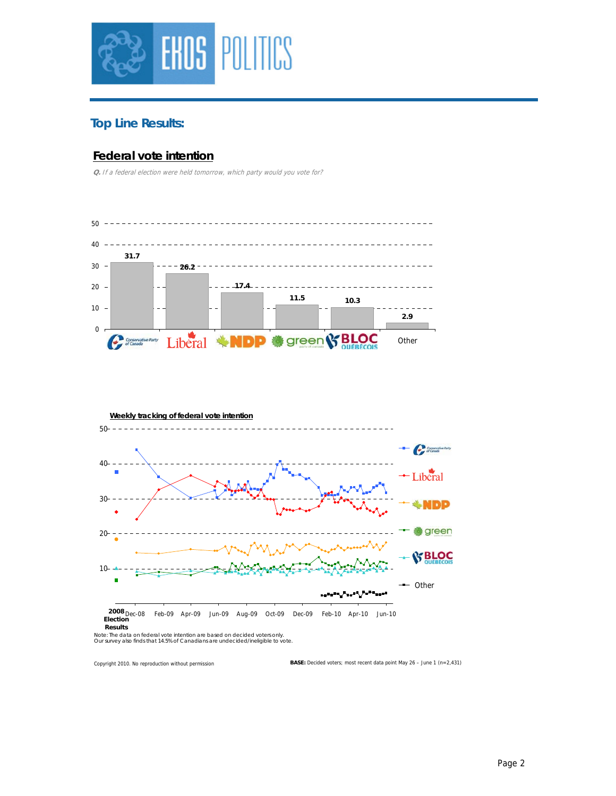

# **Top Line Results:**

#### **Federal vote intention**

**Q.** If a federal election were held tomorrow, which party would you vote for?





Note: The data on federal vote intention are based on decided voters only.<br>Our survey also finds that 14.5% of Canadians are undecided/ineligible to vote.

Copyright 2010. No reproduction without permission

**BASE:** Decided voters; most recent data point May 26 – June 1 (n=2,431)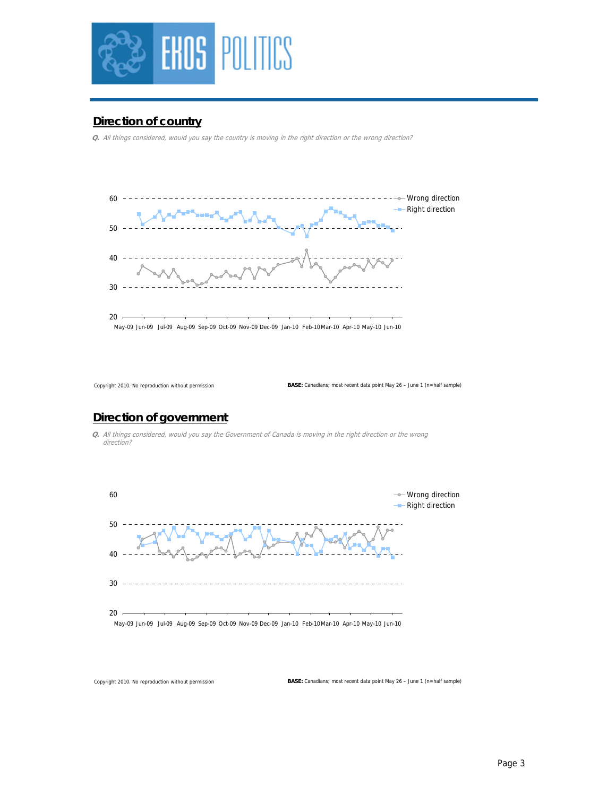

#### **Direction of country**

**Q.** All things considered, would you say the country is moving in the right direction or the wrong direction?



Copyright 2010. No reproduction without permission

**BASE:** Canadians; most recent data point May 26 – June 1 (n=half sample)

#### **Direction of government**

**Q.** All things considered, would you say the Government of Canada is moving in the right direction or the wrong direction?



Copyright 2010. No reproduction without permission

**BASE:** Canadians; most recent data point May 26 – June 1 (n=half sample)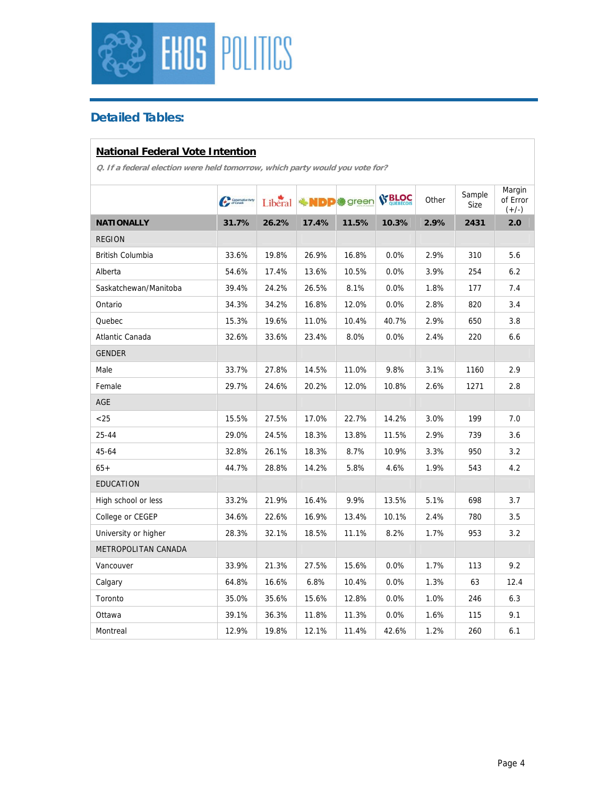

# **Detailed Tables:**

## **National Federal Vote Intention**

|                         | Communication | Liberal |       | <b>业NDP</b> @ green | <b>SS BLOC</b> | Other | Sample<br>Size | Margin<br>of Error<br>$(+/-)$ |
|-------------------------|---------------|---------|-------|---------------------|----------------|-------|----------------|-------------------------------|
| <b>NATIONALLY</b>       | 31.7%         | 26.2%   | 17.4% | 11.5%               | 10.3%          | 2.9%  | 2431           | 2.0                           |
| <b>REGION</b>           |               |         |       |                     |                |       |                |                               |
| <b>British Columbia</b> | 33.6%         | 19.8%   | 26.9% | 16.8%               | 0.0%           | 2.9%  | 310            | 5.6                           |
| Alberta                 | 54.6%         | 17.4%   | 13.6% | 10.5%               | 0.0%           | 3.9%  | 254            | 6.2                           |
| Saskatchewan/Manitoba   | 39.4%         | 24.2%   | 26.5% | 8.1%                | 0.0%           | 1.8%  | 177            | 7.4                           |
| Ontario                 | 34.3%         | 34.2%   | 16.8% | 12.0%               | 0.0%           | 2.8%  | 820            | 3.4                           |
| Quebec                  | 15.3%         | 19.6%   | 11.0% | 10.4%               | 40.7%          | 2.9%  | 650            | 3.8                           |
| Atlantic Canada         | 32.6%         | 33.6%   | 23.4% | 8.0%                | 0.0%           | 2.4%  | 220            | 6.6                           |
| <b>GENDER</b>           |               |         |       |                     |                |       |                |                               |
| Male                    | 33.7%         | 27.8%   | 14.5% | 11.0%               | 9.8%           | 3.1%  | 1160           | 2.9                           |
| Female                  | 29.7%         | 24.6%   | 20.2% | 12.0%               | 10.8%          | 2.6%  | 1271           | 2.8                           |
| AGE                     |               |         |       |                     |                |       |                |                               |
| < 25                    | 15.5%         | 27.5%   | 17.0% | 22.7%               | 14.2%          | 3.0%  | 199            | 7.0                           |
| $25 - 44$               | 29.0%         | 24.5%   | 18.3% | 13.8%               | 11.5%          | 2.9%  | 739            | 3.6                           |
| 45-64                   | 32.8%         | 26.1%   | 18.3% | 8.7%                | 10.9%          | 3.3%  | 950            | 3.2                           |
| $65+$                   | 44.7%         | 28.8%   | 14.2% | 5.8%                | 4.6%           | 1.9%  | 543            | 4.2                           |
| <b>EDUCATION</b>        |               |         |       |                     |                |       |                |                               |
| High school or less     | 33.2%         | 21.9%   | 16.4% | 9.9%                | 13.5%          | 5.1%  | 698            | 3.7                           |
| College or CEGEP        | 34.6%         | 22.6%   | 16.9% | 13.4%               | 10.1%          | 2.4%  | 780            | 3.5                           |
| University or higher    | 28.3%         | 32.1%   | 18.5% | 11.1%               | 8.2%           | 1.7%  | 953            | 3.2                           |
| METROPOLITAN CANADA     |               |         |       |                     |                |       |                |                               |
| Vancouver               | 33.9%         | 21.3%   | 27.5% | 15.6%               | 0.0%           | 1.7%  | 113            | 9.2                           |
| Calgary                 | 64.8%         | 16.6%   | 6.8%  | 10.4%               | 0.0%           | 1.3%  | 63             | 12.4                          |
| Toronto                 | 35.0%         | 35.6%   | 15.6% | 12.8%               | 0.0%           | 1.0%  | 246            | 6.3                           |
| Ottawa                  | 39.1%         | 36.3%   | 11.8% | 11.3%               | $0.0\%$        | 1.6%  | 115            | 9.1                           |
| Montreal                | 12.9%         | 19.8%   | 12.1% | 11.4%               | 42.6%          | 1.2%  | 260            | 6.1                           |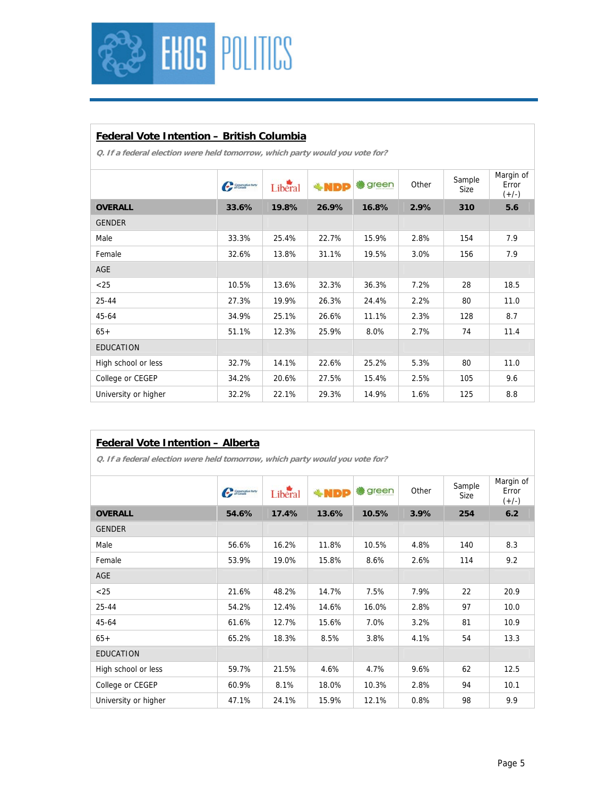

## **Federal Vote Intention – British Columbia**

**Q. If a federal election were held tomorrow, which party would you vote for?** 

|                      | Communication | Liberal | <b>*NDP</b> | <b>● green</b> | Other | Sample<br>Size | Margin of<br>Error<br>$(+/-)$ |
|----------------------|---------------|---------|-------------|----------------|-------|----------------|-------------------------------|
| <b>OVERALL</b>       | 33.6%         | 19.8%   | 26.9%       | 16.8%          | 2.9%  | 310            | 5.6                           |
| <b>GENDER</b>        |               |         |             |                |       |                |                               |
| Male                 | 33.3%         | 25.4%   | 22.7%       | 15.9%          | 2.8%  | 154            | 7.9                           |
| Female               | 32.6%         | 13.8%   | 31.1%       | 19.5%          | 3.0%  | 156            | 7.9                           |
| AGE                  |               |         |             |                |       |                |                               |
| $<$ 25               | 10.5%         | 13.6%   | 32.3%       | 36.3%          | 7.2%  | 28             | 18.5                          |
| 25-44                | 27.3%         | 19.9%   | 26.3%       | 24.4%          | 2.2%  | 80             | 11.0                          |
| 45-64                | 34.9%         | 25.1%   | 26.6%       | 11.1%          | 2.3%  | 128            | 8.7                           |
| $65+$                | 51.1%         | 12.3%   | 25.9%       | 8.0%           | 2.7%  | 74             | 11.4                          |
| <b>EDUCATION</b>     |               |         |             |                |       |                |                               |
| High school or less  | 32.7%         | 14.1%   | 22.6%       | 25.2%          | 5.3%  | 80             | 11.0                          |
| College or CEGEP     | 34.2%         | 20.6%   | 27.5%       | 15.4%          | 2.5%  | 105            | 9.6                           |
| University or higher | 32.2%         | 22.1%   | 29.3%       | 14.9%          | 1.6%  | 125            | 8.8                           |

#### **Federal Vote Intention – Alberta**

|                      | Communication | Libéral | $*NDP$ | green<br><b>BO</b> | Other | Sample<br>Size | Margin of<br>Error<br>$(+/-)$ |
|----------------------|---------------|---------|--------|--------------------|-------|----------------|-------------------------------|
| <b>OVERALL</b>       | 54.6%         | 17.4%   | 13.6%  | 10.5%              | 3.9%  | 254            | 6.2                           |
| <b>GENDER</b>        |               |         |        |                    |       |                |                               |
| Male                 | 56.6%         | 16.2%   | 11.8%  | 10.5%              | 4.8%  | 140            | 8.3                           |
| Female               | 53.9%         | 19.0%   | 15.8%  | 8.6%               | 2.6%  | 114            | 9.2                           |
| <b>AGE</b>           |               |         |        |                    |       |                |                               |
| $25$                 | 21.6%         | 48.2%   | 14.7%  | 7.5%               | 7.9%  | 22             | 20.9                          |
| 25-44                | 54.2%         | 12.4%   | 14.6%  | 16.0%              | 2.8%  | 97             | 10.0                          |
| 45-64                | 61.6%         | 12.7%   | 15.6%  | 7.0%               | 3.2%  | 81             | 10.9                          |
| $65+$                | 65.2%         | 18.3%   | 8.5%   | 3.8%               | 4.1%  | 54             | 13.3                          |
| <b>EDUCATION</b>     |               |         |        |                    |       |                |                               |
| High school or less  | 59.7%         | 21.5%   | 4.6%   | 4.7%               | 9.6%  | 62             | 12.5                          |
| College or CEGEP     | 60.9%         | 8.1%    | 18.0%  | 10.3%              | 2.8%  | 94             | 10.1                          |
| University or higher | 47.1%         | 24.1%   | 15.9%  | 12.1%              | 0.8%  | 98             | 9.9                           |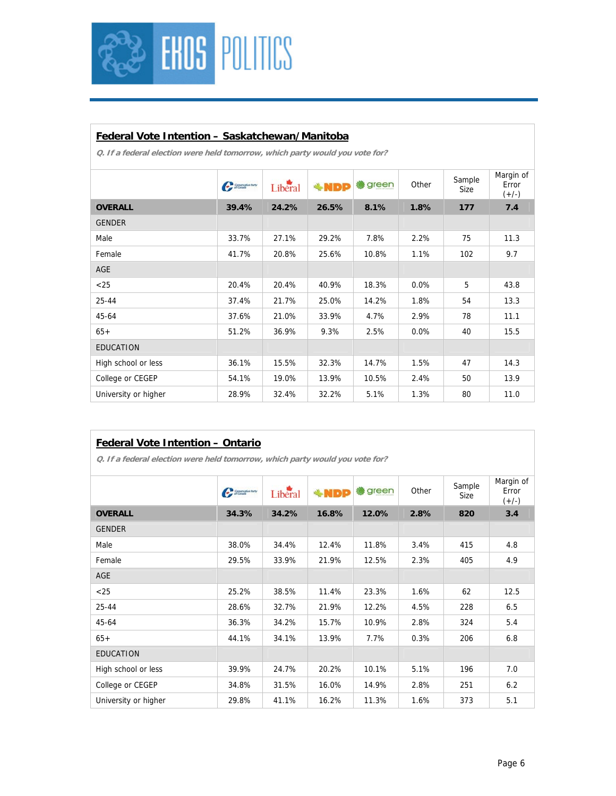

### **Federal Vote Intention – Saskatchewan/Manitoba**

**Q. If a federal election were held tomorrow, which party would you vote for?** 

|                      | Communication | Liberal | $*NDP$ | <b>●</b> green | Other   | Sample<br>Size | Margin of<br>Error<br>$(+/-)$ |
|----------------------|---------------|---------|--------|----------------|---------|----------------|-------------------------------|
| <b>OVERALL</b>       | 39.4%         | 24.2%   | 26.5%  | 8.1%           | 1.8%    | 177            | 7.4                           |
| <b>GENDER</b>        |               |         |        |                |         |                |                               |
| Male                 | 33.7%         | 27.1%   | 29.2%  | 7.8%           | 2.2%    | 75             | 11.3                          |
| Female               | 41.7%         | 20.8%   | 25.6%  | 10.8%          | 1.1%    | 102            | 9.7                           |
| AGE                  |               |         |        |                |         |                |                               |
| $<$ 25               | 20.4%         | 20.4%   | 40.9%  | 18.3%          | $0.0\%$ | 5              | 43.8                          |
| $25 - 44$            | 37.4%         | 21.7%   | 25.0%  | 14.2%          | 1.8%    | 54             | 13.3                          |
| 45-64                | 37.6%         | 21.0%   | 33.9%  | 4.7%           | 2.9%    | 78             | 11.1                          |
| $65+$                | 51.2%         | 36.9%   | 9.3%   | 2.5%           | $0.0\%$ | 40             | 15.5                          |
| <b>EDUCATION</b>     |               |         |        |                |         |                |                               |
| High school or less  | 36.1%         | 15.5%   | 32.3%  | 14.7%          | 1.5%    | 47             | 14.3                          |
| College or CEGEP     | 54.1%         | 19.0%   | 13.9%  | 10.5%          | 2.4%    | 50             | 13.9                          |
| University or higher | 28.9%         | 32.4%   | 32.2%  | 5.1%           | 1.3%    | 80             | 11.0                          |
|                      |               |         |        |                |         |                |                               |

#### **Federal Vote Intention – Ontario**

|                      | Communication | Liberal | $*NDP$ | green | Other | Sample<br>Size | Margin of<br>Error<br>$(+/-)$ |
|----------------------|---------------|---------|--------|-------|-------|----------------|-------------------------------|
| <b>OVERALL</b>       | 34.3%         | 34.2%   | 16.8%  | 12.0% | 2.8%  | 820            | 3.4                           |
| <b>GENDER</b>        |               |         |        |       |       |                |                               |
| Male                 | 38.0%         | 34.4%   | 12.4%  | 11.8% | 3.4%  | 415            | 4.8                           |
| Female               | 29.5%         | 33.9%   | 21.9%  | 12.5% | 2.3%  | 405            | 4.9                           |
| AGE                  |               |         |        |       |       |                |                               |
| $25$                 | 25.2%         | 38.5%   | 11.4%  | 23.3% | 1.6%  | 62             | 12.5                          |
| 25-44                | 28.6%         | 32.7%   | 21.9%  | 12.2% | 4.5%  | 228            | 6.5                           |
| 45-64                | 36.3%         | 34.2%   | 15.7%  | 10.9% | 2.8%  | 324            | 5.4                           |
| $65+$                | 44.1%         | 34.1%   | 13.9%  | 7.7%  | 0.3%  | 206            | 6.8                           |
| <b>EDUCATION</b>     |               |         |        |       |       |                |                               |
| High school or less  | 39.9%         | 24.7%   | 20.2%  | 10.1% | 5.1%  | 196            | 7.0                           |
| College or CEGEP     | 34.8%         | 31.5%   | 16.0%  | 14.9% | 2.8%  | 251            | 6.2                           |
| University or higher | 29.8%         | 41.1%   | 16.2%  | 11.3% | 1.6%  | 373            | 5.1                           |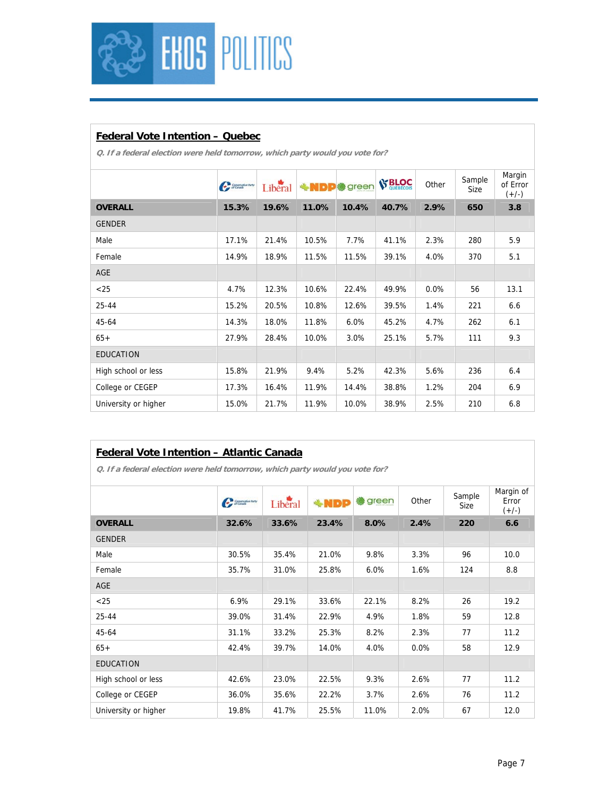

## **Federal Vote Intention – Quebec**

**Q. If a federal election were held tomorrow, which party would you vote for?** 

|                      | Communication | Liberal | <b>+MDP*</b> | green | <b>S' BLOC</b> | Other | Sample<br>Size | Margin<br>of Error<br>$(+/-)$ |
|----------------------|---------------|---------|--------------|-------|----------------|-------|----------------|-------------------------------|
| <b>OVERALL</b>       | 15.3%         | 19.6%   | 11.0%        | 10.4% | 40.7%          | 2.9%  | 650            | 3.8                           |
| <b>GENDER</b>        |               |         |              |       |                |       |                |                               |
| Male                 | 17.1%         | 21.4%   | 10.5%        | 7.7%  | 41.1%          | 2.3%  | 280            | 5.9                           |
| Female               | 14.9%         | 18.9%   | 11.5%        | 11.5% | 39.1%          | 4.0%  | 370            | 5.1                           |
| <b>AGE</b>           |               |         |              |       |                |       |                |                               |
| $<$ 25               | 4.7%          | 12.3%   | 10.6%        | 22.4% | 49.9%          | 0.0%  | 56             | 13.1                          |
| $25 - 44$            | 15.2%         | 20.5%   | 10.8%        | 12.6% | 39.5%          | 1.4%  | 221            | 6.6                           |
| 45-64                | 14.3%         | 18.0%   | 11.8%        | 6.0%  | 45.2%          | 4.7%  | 262            | 6.1                           |
| $65+$                | 27.9%         | 28.4%   | 10.0%        | 3.0%  | 25.1%          | 5.7%  | 111            | 9.3                           |
| <b>EDUCATION</b>     |               |         |              |       |                |       |                |                               |
| High school or less  | 15.8%         | 21.9%   | 9.4%         | 5.2%  | 42.3%          | 5.6%  | 236            | 6.4                           |
| College or CEGEP     | 17.3%         | 16.4%   | 11.9%        | 14.4% | 38.8%          | 1.2%  | 204            | 6.9                           |
| University or higher | 15.0%         | 21.7%   | 11.9%        | 10.0% | 38.9%          | 2.5%  | 210            | 6.8                           |
|                      |               |         |              |       |                |       |                |                               |

## **Federal Vote Intention – Atlantic Canada**

|                      | Communication | Liberal | <b>*NDP</b> | green<br>88 | Other   | Sample<br>Size | Margin of<br>Error<br>$(+/-)$ |
|----------------------|---------------|---------|-------------|-------------|---------|----------------|-------------------------------|
| <b>OVERALL</b>       | 32.6%         | 33.6%   | 23.4%       | 8.0%        | 2.4%    | 220            | 6.6                           |
| <b>GENDER</b>        |               |         |             |             |         |                |                               |
| Male                 | 30.5%         | 35.4%   | 21.0%       | 9.8%        | 3.3%    | 96             | 10.0                          |
| Female               | 35.7%         | 31.0%   | 25.8%       | 6.0%        | 1.6%    | 124            | 8.8                           |
| <b>AGE</b>           |               |         |             |             |         |                |                               |
| $<$ 25               | 6.9%          | 29.1%   | 33.6%       | 22.1%       | 8.2%    | 26             | 19.2                          |
| 25-44                | 39.0%         | 31.4%   | 22.9%       | 4.9%        | 1.8%    | 59             | 12.8                          |
| 45-64                | 31.1%         | 33.2%   | 25.3%       | 8.2%        | 2.3%    | 77             | 11.2                          |
| $65+$                | 42.4%         | 39.7%   | 14.0%       | 4.0%        | $0.0\%$ | 58             | 12.9                          |
| <b>EDUCATION</b>     |               |         |             |             |         |                |                               |
| High school or less  | 42.6%         | 23.0%   | 22.5%       | 9.3%        | 2.6%    | 77             | 11.2                          |
| College or CEGEP     | 36.0%         | 35.6%   | 22.2%       | 3.7%        | 2.6%    | 76             | 11.2                          |
| University or higher | 19.8%         | 41.7%   | 25.5%       | 11.0%       | 2.0%    | 67             | 12.0                          |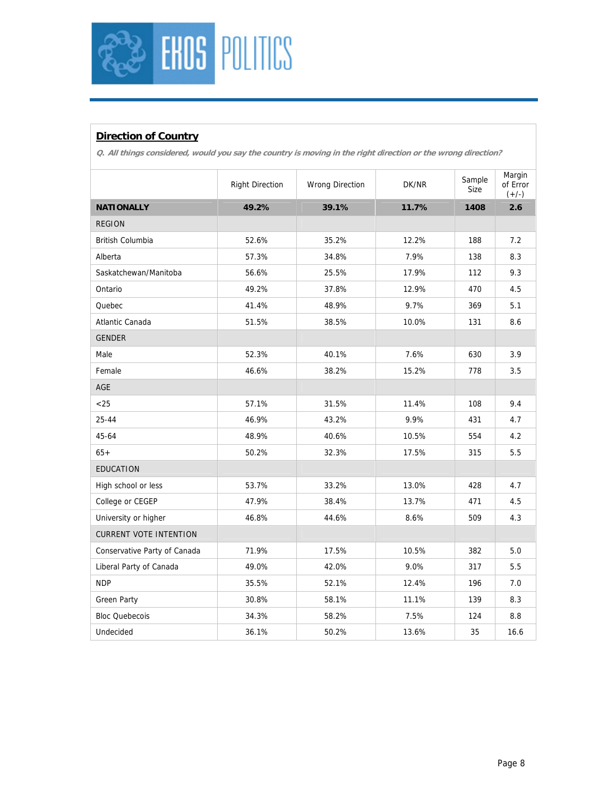

## **Direction of Country**

**Q. All things considered, would you say the country is moving in the right direction or the wrong direction?** 

|                               | <b>Right Direction</b> | <b>Wrong Direction</b> | DK/NR | Sample<br>Size | Margin<br>of Error<br>$(+/-)$ |
|-------------------------------|------------------------|------------------------|-------|----------------|-------------------------------|
| <b>NATIONALLY</b>             | 49.2%                  | 39.1%                  | 11.7% | 1408           | 2.6                           |
| <b>REGION</b>                 |                        |                        |       |                |                               |
| British Columbia              | 52.6%                  | 35.2%                  | 12.2% | 188            | 7.2                           |
| Alberta                       | 57.3%                  | 34.8%                  | 7.9%  | 138            | 8.3                           |
| Saskatchewan/Manitoba         | 56.6%                  | 25.5%                  | 17.9% | 112            | 9.3                           |
| Ontario                       | 49.2%                  | 37.8%                  | 12.9% | 470            | 4.5                           |
| Quebec                        | 41.4%                  | 48.9%                  | 9.7%  | 369            | 5.1                           |
| Atlantic Canada               | 51.5%                  | 38.5%                  | 10.0% | 131            | 8.6                           |
| <b>GENDER</b>                 |                        |                        |       |                |                               |
| Male                          | 52.3%                  | 40.1%                  | 7.6%  | 630            | 3.9                           |
| Female                        | 46.6%                  | 38.2%                  | 15.2% | 778            | 3.5                           |
| <b>AGE</b>                    |                        |                        |       |                |                               |
| < 25                          | 57.1%                  | 31.5%                  | 11.4% | 108            | 9.4                           |
| 25-44                         | 46.9%                  | 43.2%                  | 9.9%  | 431            | 4.7                           |
| 45-64                         | 48.9%                  | 40.6%                  | 10.5% | 554            | 4.2                           |
| $65+$                         | 50.2%                  | 32.3%                  | 17.5% | 315            | 5.5                           |
| <b>EDUCATION</b>              |                        |                        |       |                |                               |
| High school or less           | 53.7%                  | 33.2%                  | 13.0% | 428            | 4.7                           |
| College or CEGEP              | 47.9%                  | 38.4%                  | 13.7% | 471            | 4.5                           |
| University or higher          | 46.8%                  | 44.6%                  | 8.6%  | 509            | 4.3                           |
| <b>CURRENT VOTE INTENTION</b> |                        |                        |       |                |                               |
| Conservative Party of Canada  | 71.9%                  | 17.5%                  | 10.5% | 382            | 5.0                           |
| Liberal Party of Canada       | 49.0%                  | 42.0%                  | 9.0%  | 317            | 5.5                           |
| <b>NDP</b>                    | 35.5%                  | 52.1%                  | 12.4% | 196            | 7.0                           |
| <b>Green Party</b>            | 30.8%                  | 58.1%                  | 11.1% | 139            | 8.3                           |
| <b>Bloc Quebecois</b>         | 34.3%                  | 58.2%                  | 7.5%  | 124            | 8.8                           |
| Undecided                     | 36.1%                  | 50.2%                  | 13.6% | 35             | 16.6                          |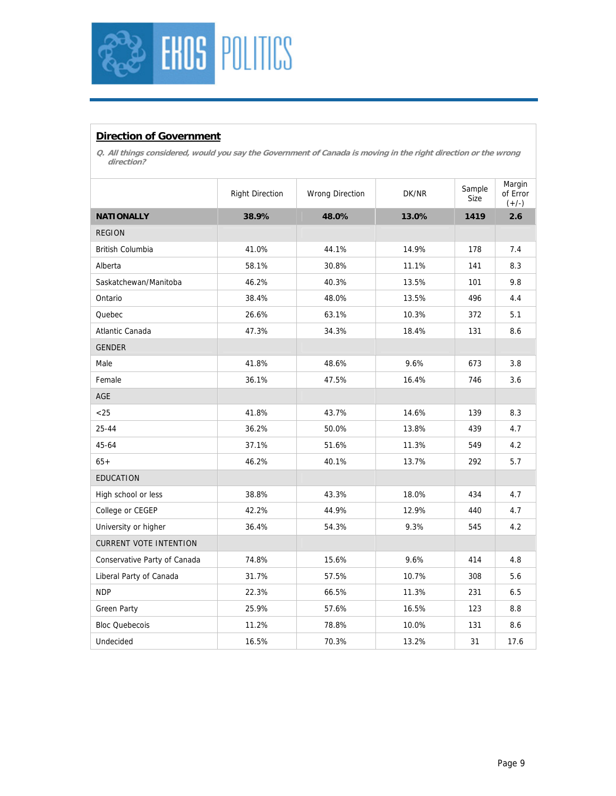

#### **Direction of Government**

**Q. All things considered, would you say the Government of Canada is moving in the right direction or the wrong direction?** 

|                               | <b>Right Direction</b> | <b>Wrong Direction</b> | DK/NR | Sample<br>Size | Margin<br>of Error<br>$(+/-)$ |
|-------------------------------|------------------------|------------------------|-------|----------------|-------------------------------|
| <b>NATIONALLY</b>             | 38.9%                  | 48.0%                  | 13.0% | 1419           | 2.6                           |
| <b>REGION</b>                 |                        |                        |       |                |                               |
| British Columbia              | 41.0%                  | 44.1%                  | 14.9% | 178            | 7.4                           |
| Alberta                       | 58.1%                  | 30.8%                  | 11.1% | 141            | 8.3                           |
| Saskatchewan/Manitoba         | 46.2%                  | 40.3%                  | 13.5% | 101            | 9.8                           |
| Ontario                       | 38.4%                  | 48.0%                  | 13.5% | 496            | 4.4                           |
| Quebec                        | 26.6%                  | 63.1%                  | 10.3% | 372            | 5.1                           |
| Atlantic Canada               | 47.3%                  | 34.3%                  | 18.4% | 131            | 8.6                           |
| <b>GENDER</b>                 |                        |                        |       |                |                               |
| Male                          | 41.8%                  | 48.6%                  | 9.6%  | 673            | 3.8                           |
| Female                        | 36.1%                  | 47.5%                  | 16.4% | 746            | 3.6                           |
| AGE                           |                        |                        |       |                |                               |
| $<25$                         | 41.8%                  | 43.7%                  | 14.6% | 139            | 8.3                           |
| 25-44                         | 36.2%                  | 50.0%                  | 13.8% | 439            | 4.7                           |
| 45-64                         | 37.1%                  | 51.6%                  | 11.3% | 549            | 4.2                           |
| $65+$                         | 46.2%                  | 40.1%                  | 13.7% | 292            | 5.7                           |
| <b>EDUCATION</b>              |                        |                        |       |                |                               |
| High school or less           | 38.8%                  | 43.3%                  | 18.0% | 434            | 4.7                           |
| College or CEGEP              | 42.2%                  | 44.9%                  | 12.9% | 440            | 4.7                           |
| University or higher          | 36.4%                  | 54.3%                  | 9.3%  | 545            | 4.2                           |
| <b>CURRENT VOTE INTENTION</b> |                        |                        |       |                |                               |
| Conservative Party of Canada  | 74.8%                  | 15.6%                  | 9.6%  | 414            | 4.8                           |
| Liberal Party of Canada       | 31.7%                  | 57.5%                  | 10.7% | 308            | 5.6                           |
| <b>NDP</b>                    | 22.3%                  | 66.5%                  | 11.3% | 231            | 6.5                           |
| <b>Green Party</b>            | 25.9%                  | 57.6%                  | 16.5% | 123            | 8.8                           |
| <b>Bloc Quebecois</b>         | 11.2%                  | 78.8%                  | 10.0% | 131            | 8.6                           |
| Undecided                     | 16.5%                  | 70.3%                  | 13.2% | 31             | 17.6                          |